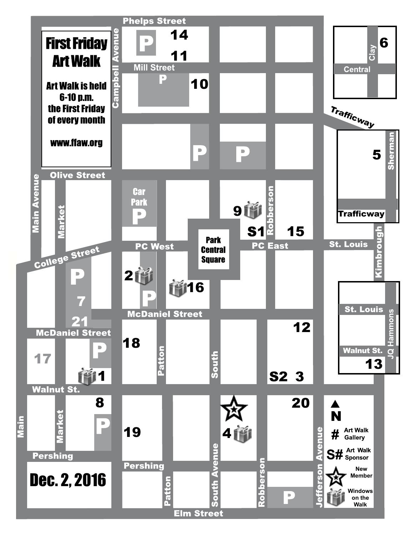